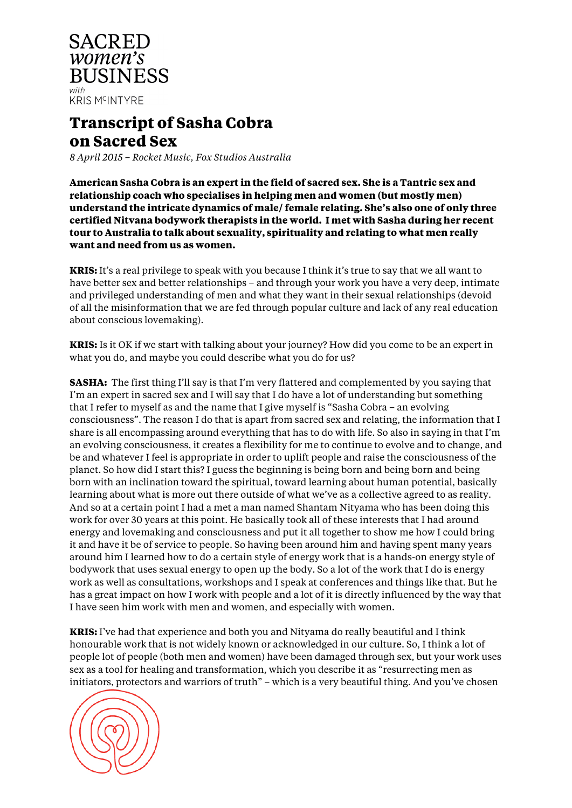

## **Transcript of Sasha Cobra on Sacred Sex**

*8 April 2015 – Rocket Music, Fox Studios Australia*

**American Sasha Cobra is an expert in the field of sacred sex. She is a Tantric sex and relationship coach who specialises in helping men and women (but mostly men) understand the intricate dynamics of male/ female relating. She's also one of only three certified Nitvana bodywork therapists in the world. I met with Sasha during her recent tour to Australia to talk about sexuality, spirituality and relating to what men really want and need from us as women.** 

**KRIS:** It's a real privilege to speak with you because I think it's true to say that we all want to have better sex and better relationships – and through your work you have a very deep, intimate and privileged understanding of men and what they want in their sexual relationships (devoid of all the misinformation that we are fed through popular culture and lack of any real education about conscious lovemaking).

**KRIS:** Is it OK if we start with talking about your journey? How did you come to be an expert in what you do, and maybe you could describe what you do for us?

**SASHA:** The first thing I'll say is that I'm very flattered and complemented by you saying that I'm an expert in sacred sex and I will say that I do have a lot of understanding but something that I refer to myself as and the name that I give myself is "Sasha Cobra – an evolving consciousness". The reason I do that is apart from sacred sex and relating, the information that I share is all encompassing around everything that has to do with life. So also in saying in that I'm an evolving consciousness, it creates a flexibility for me to continue to evolve and to change, and be and whatever I feel is appropriate in order to uplift people and raise the consciousness of the planet. So how did I start this? I guess the beginning is being born and being born and being born with an inclination toward the spiritual, toward learning about human potential, basically learning about what is more out there outside of what we've as a collective agreed to as reality. And so at a certain point I had a met a man named Shantam Nityama who has been doing this work for over 30 years at this point. He basically took all of these interests that I had around energy and lovemaking and consciousness and put it all together to show me how I could bring it and have it be of service to people. So having been around him and having spent many years around him I learned how to do a certain style of energy work that is a hands-on energy style of bodywork that uses sexual energy to open up the body. So a lot of the work that I do is energy work as well as consultations, workshops and I speak at conferences and things like that. But he has a great impact on how I work with people and a lot of it is directly influenced by the way that I have seen him work with men and women, and especially with women.

**KRIS:** I've had that experience and both you and Nityama do really beautiful and I think honourable work that is not widely known or acknowledged in our culture. So, I think a lot of people lot of people (both men and women) have been damaged through sex, but your work uses sex as a tool for healing and transformation, which you describe it as "resurrecting men as initiators, protectors and warriors of truth" – which is a very beautiful thing. And you've chosen

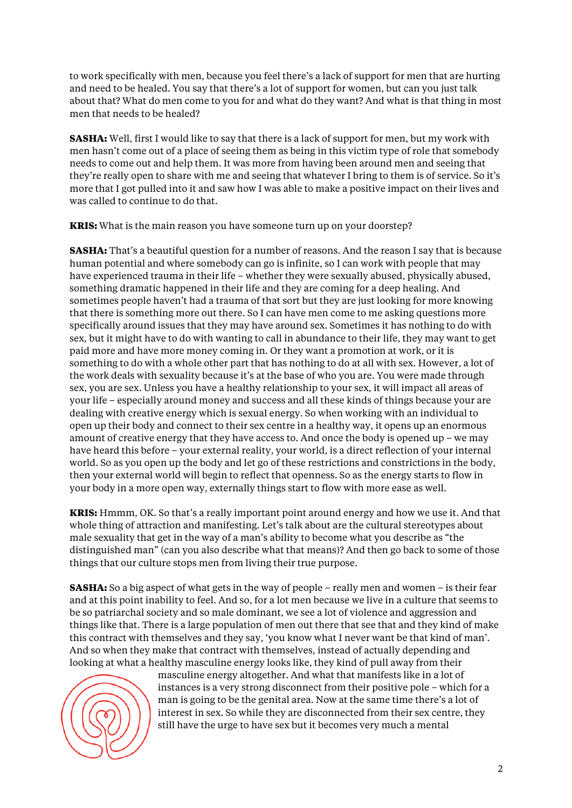to work specifically with men, because you feel there's a lack of support for men that are hurting and need to be healed. You say that there's a lot of support for women, but can you just talk about that? What do men come to you for and what do they want? And what is that thing in most men that needs to be healed?

**SASHA:** Well, first I would like to say that there is a lack of support for men, but my work with men hasn't come out of a place of seeing them as being in this victim type of role that somebody needs to come out and help them. It was more from having been around men and seeing that they're really open to share with me and seeing that whatever I bring to them is of service. So it's more that I got pulled into it and saw how I was able to make a positive impact on their lives and was called to continue to do that.

**KRIS:** What is the main reason you have someone turn up on your doorstep?

**SASHA:** That's a beautiful question for a number of reasons. And the reason I say that is because human potential and where somebody can go is infinite, so I can work with people that may have experienced trauma in their life – whether they were sexually abused, physically abused, something dramatic happened in their life and they are coming for a deep healing. And sometimes people haven't had a trauma of that sort but they are just looking for more knowing that there is something more out there. So I can have men come to me asking questions more specifically around issues that they may have around sex. Sometimes it has nothing to do with sex, but it might have to do with wanting to call in abundance to their life, they may want to get paid more and have more money coming in. Or they want a promotion at work, or it is something to do with a whole other part that has nothing to do at all with sex. However, a lot of the work deals with sexuality because it's at the base of who you are. You were made through sex, you are sex. Unless you have a healthy relationship to your sex, it will impact all areas of your life – especially around money and success and all these kinds of things because your are dealing with creative energy which is sexual energy. So when working with an individual to open up their body and connect to their sex centre in a healthy way, it opens up an enormous amount of creative energy that they have access to. And once the body is opened up – we may have heard this before – your external reality, your world, is a direct reflection of your internal world. So as you open up the body and let go of these restrictions and constrictions in the body, then your external world will begin to reflect that openness. So as the energy starts to flow in your body in a more open way, externally things start to flow with more ease as well.

**KRIS:** Hmmm, OK. So that's a really important point around energy and how we use it. And that whole thing of attraction and manifesting. Let's talk about are the cultural stereotypes about male sexuality that get in the way of a man's ability to become what you describe as "the distinguished man" (can you also describe what that means)? And then go back to some of those things that our culture stops men from living their true purpose.

**SASHA:** So a big aspect of what gets in the way of people – really men and women – is their fear and at this point inability to feel. And so, for a lot men because we live in a culture that seems to be so patriarchal society and so male dominant, we see a lot of violence and aggression and things like that. There is a large population of men out there that see that and they kind of make this contract with themselves and they say, 'you know what I never want be that kind of man'. And so when they make that contract with themselves, instead of actually depending and looking at what a healthy masculine energy looks like, they kind of pull away from their



masculine energy altogether. And what that manifests like in a lot of instances is a very strong disconnect from their positive pole – which for a man is going to be the genital area. Now at the same time there's a lot of interest in sex. So while they are disconnected from their sex centre, they still have the urge to have sex but it becomes very much a mental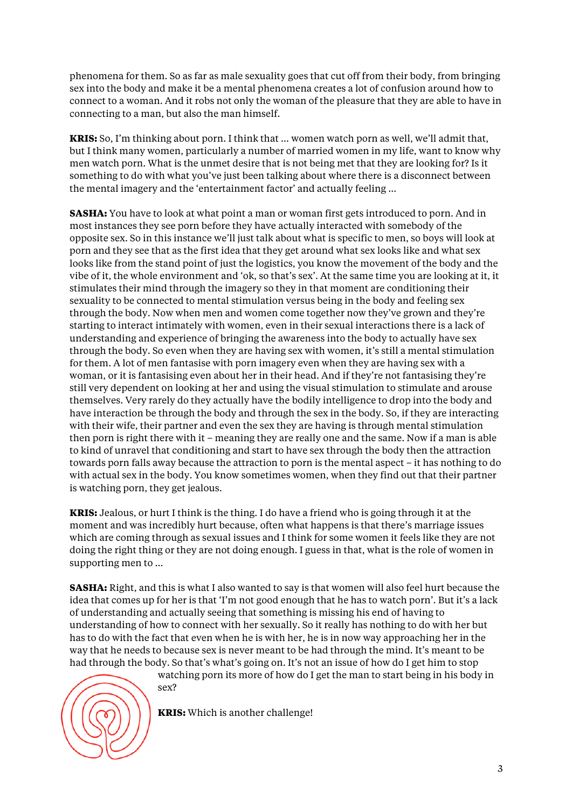phenomena for them. So as far as male sexuality goes that cut off from their body, from bringing sex into the body and make it be a mental phenomena creates a lot of confusion around how to connect to a woman. And it robs not only the woman of the pleasure that they are able to have in connecting to a man, but also the man himself.

**KRIS:** So, I'm thinking about porn. I think that … women watch porn as well, we'll admit that, but I think many women, particularly a number of married women in my life, want to know why men watch porn. What is the unmet desire that is not being met that they are looking for? Is it something to do with what you've just been talking about where there is a disconnect between the mental imagery and the 'entertainment factor' and actually feeling …

**SASHA:** You have to look at what point a man or woman first gets introduced to porn. And in most instances they see porn before they have actually interacted with somebody of the opposite sex. So in this instance we'll just talk about what is specific to men, so boys will look at porn and they see that as the first idea that they get around what sex looks like and what sex looks like from the stand point of just the logistics, you know the movement of the body and the vibe of it, the whole environment and 'ok, so that's sex'. At the same time you are looking at it, it stimulates their mind through the imagery so they in that moment are conditioning their sexuality to be connected to mental stimulation versus being in the body and feeling sex through the body. Now when men and women come together now they've grown and they're starting to interact intimately with women, even in their sexual interactions there is a lack of understanding and experience of bringing the awareness into the body to actually have sex through the body. So even when they are having sex with women, it's still a mental stimulation for them. A lot of men fantasise with porn imagery even when they are having sex with a woman, or it is fantasising even about her in their head. And if they're not fantasising they're still very dependent on looking at her and using the visual stimulation to stimulate and arouse themselves. Very rarely do they actually have the bodily intelligence to drop into the body and have interaction be through the body and through the sex in the body. So, if they are interacting with their wife, their partner and even the sex they are having is through mental stimulation then porn is right there with it – meaning they are really one and the same. Now if a man is able to kind of unravel that conditioning and start to have sex through the body then the attraction towards porn falls away because the attraction to porn is the mental aspect – it has nothing to do with actual sex in the body. You know sometimes women, when they find out that their partner is watching porn, they get jealous.

**KRIS:** Jealous, or hurt I think is the thing. I do have a friend who is going through it at the moment and was incredibly hurt because, often what happens is that there's marriage issues which are coming through as sexual issues and I think for some women it feels like they are not doing the right thing or they are not doing enough. I guess in that, what is the role of women in supporting men to …

**SASHA:** Right, and this is what I also wanted to say is that women will also feel hurt because the idea that comes up for her is that 'I'm not good enough that he has to watch porn'. But it's a lack of understanding and actually seeing that something is missing his end of having to understanding of how to connect with her sexually. So it really has nothing to do with her but has to do with the fact that even when he is with her, he is in now way approaching her in the way that he needs to because sex is never meant to be had through the mind. It's meant to be had through the body. So that's what's going on. It's not an issue of how do I get him to stop



watching porn its more of how do I get the man to start being in his body in sex?

**KRIS:** Which is another challenge!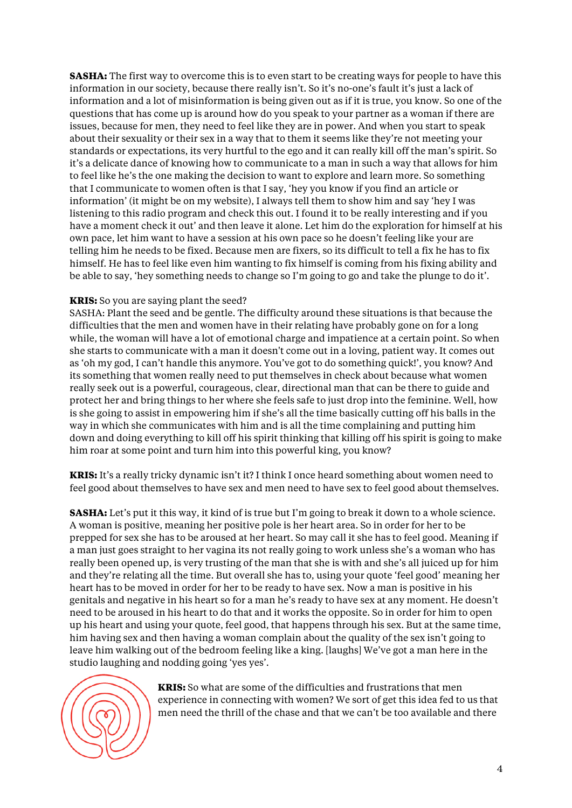**SASHA:** The first way to overcome this is to even start to be creating ways for people to have this information in our society, because there really isn't. So it's no-one's fault it's just a lack of information and a lot of misinformation is being given out as if it is true, you know. So one of the questions that has come up is around how do you speak to your partner as a woman if there are issues, because for men, they need to feel like they are in power. And when you start to speak about their sexuality or their sex in a way that to them it seems like they're not meeting your standards or expectations, its very hurtful to the ego and it can really kill off the man's spirit. So it's a delicate dance of knowing how to communicate to a man in such a way that allows for him to feel like he's the one making the decision to want to explore and learn more. So something that I communicate to women often is that I say, 'hey you know if you find an article or information' (it might be on my website), I always tell them to show him and say 'hey I was listening to this radio program and check this out. I found it to be really interesting and if you have a moment check it out' and then leave it alone. Let him do the exploration for himself at his own pace, let him want to have a session at his own pace so he doesn't feeling like your are telling him he needs to be fixed. Because men are fixers, so its difficult to tell a fix he has to fix himself. He has to feel like even him wanting to fix himself is coming from his fixing ability and be able to say, 'hey something needs to change so I'm going to go and take the plunge to do it'.

## **KRIS:** So you are saying plant the seed?

SASHA: Plant the seed and be gentle. The difficulty around these situations is that because the difficulties that the men and women have in their relating have probably gone on for a long while, the woman will have a lot of emotional charge and impatience at a certain point. So when she starts to communicate with a man it doesn't come out in a loving, patient way. It comes out as 'oh my god, I can't handle this anymore. You've got to do something quick!', you know? And its something that women really need to put themselves in check about because what women really seek out is a powerful, courageous, clear, directional man that can be there to guide and protect her and bring things to her where she feels safe to just drop into the feminine. Well, how is she going to assist in empowering him if she's all the time basically cutting off his balls in the way in which she communicates with him and is all the time complaining and putting him down and doing everything to kill off his spirit thinking that killing off his spirit is going to make him roar at some point and turn him into this powerful king, you know?

**KRIS:** It's a really tricky dynamic isn't it? I think I once heard something about women need to feel good about themselves to have sex and men need to have sex to feel good about themselves.

**SASHA:** Let's put it this way, it kind of is true but I'm going to break it down to a whole science. A woman is positive, meaning her positive pole is her heart area. So in order for her to be prepped for sex she has to be aroused at her heart. So may call it she has to feel good. Meaning if a man just goes straight to her vagina its not really going to work unless she's a woman who has really been opened up, is very trusting of the man that she is with and she's all juiced up for him and they're relating all the time. But overall she has to, using your quote 'feel good' meaning her heart has to be moved in order for her to be ready to have sex. Now a man is positive in his genitals and negative in his heart so for a man he's ready to have sex at any moment. He doesn't need to be aroused in his heart to do that and it works the opposite. So in order for him to open up his heart and using your quote, feel good, that happens through his sex. But at the same time, him having sex and then having a woman complain about the quality of the sex isn't going to leave him walking out of the bedroom feeling like a king. [laughs] We've got a man here in the studio laughing and nodding going 'yes yes'.



**KRIS:** So what are some of the difficulties and frustrations that men experience in connecting with women? We sort of get this idea fed to us that men need the thrill of the chase and that we can't be too available and there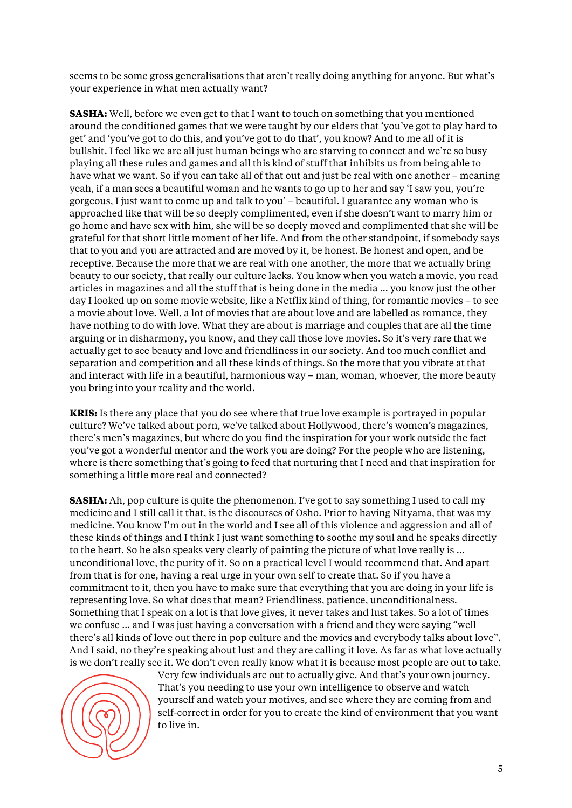seems to be some gross generalisations that aren't really doing anything for anyone. But what's your experience in what men actually want?

**SASHA:** Well, before we even get to that I want to touch on something that you mentioned around the conditioned games that we were taught by our elders that 'you've got to play hard to get' and 'you've got to do this, and you've got to do that', you know? And to me all of it is bullshit. I feel like we are all just human beings who are starving to connect and we're so busy playing all these rules and games and all this kind of stuff that inhibits us from being able to have what we want. So if you can take all of that out and just be real with one another – meaning yeah, if a man sees a beautiful woman and he wants to go up to her and say 'I saw you, you're gorgeous, I just want to come up and talk to you' – beautiful. I guarantee any woman who is approached like that will be so deeply complimented, even if she doesn't want to marry him or go home and have sex with him, she will be so deeply moved and complimented that she will be grateful for that short little moment of her life. And from the other standpoint, if somebody says that to you and you are attracted and are moved by it, be honest. Be honest and open, and be receptive. Because the more that we are real with one another, the more that we actually bring beauty to our society, that really our culture lacks. You know when you watch a movie, you read articles in magazines and all the stuff that is being done in the media … you know just the other day I looked up on some movie website, like a Netflix kind of thing, for romantic movies – to see a movie about love. Well, a lot of movies that are about love and are labelled as romance, they have nothing to do with love. What they are about is marriage and couples that are all the time arguing or in disharmony, you know, and they call those love movies. So it's very rare that we actually get to see beauty and love and friendliness in our society. And too much conflict and separation and competition and all these kinds of things. So the more that you vibrate at that and interact with life in a beautiful, harmonious way – man, woman, whoever, the more beauty you bring into your reality and the world.

**KRIS:** Is there any place that you do see where that true love example is portrayed in popular culture? We've talked about porn, we've talked about Hollywood, there's women's magazines, there's men's magazines, but where do you find the inspiration for your work outside the fact you've got a wonderful mentor and the work you are doing? For the people who are listening, where is there something that's going to feed that nurturing that I need and that inspiration for something a little more real and connected?

**SASHA:** Ah, pop culture is quite the phenomenon. I've got to say something I used to call my medicine and I still call it that, is the discourses of Osho. Prior to having Nityama, that was my medicine. You know I'm out in the world and I see all of this violence and aggression and all of these kinds of things and I think I just want something to soothe my soul and he speaks directly to the heart. So he also speaks very clearly of painting the picture of what love really is … unconditional love, the purity of it. So on a practical level I would recommend that. And apart from that is for one, having a real urge in your own self to create that. So if you have a commitment to it, then you have to make sure that everything that you are doing in your life is representing love. So what does that mean? Friendliness, patience, unconditionalness. Something that I speak on a lot is that love gives, it never takes and lust takes. So a lot of times we confuse … and I was just having a conversation with a friend and they were saying "well there's all kinds of love out there in pop culture and the movies and everybody talks about love". And I said, no they're speaking about lust and they are calling it love. As far as what love actually is we don't really see it. We don't even really know what it is because most people are out to take.



Very few individuals are out to actually give. And that's your own journey. That's you needing to use your own intelligence to observe and watch yourself and watch your motives, and see where they are coming from and self-correct in order for you to create the kind of environment that you want to live in.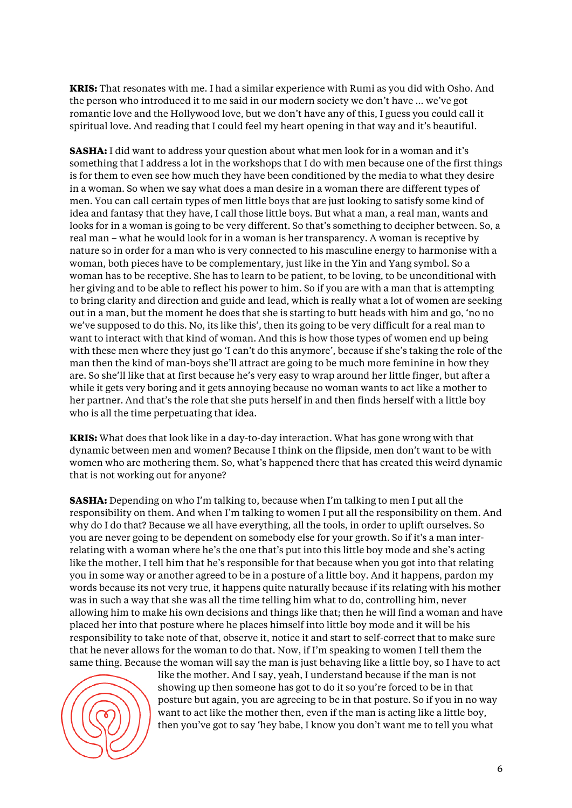**KRIS:** That resonates with me. I had a similar experience with Rumi as you did with Osho. And the person who introduced it to me said in our modern society we don't have … we've got romantic love and the Hollywood love, but we don't have any of this, I guess you could call it spiritual love. And reading that I could feel my heart opening in that way and it's beautiful.

**SASHA:** I did want to address your question about what men look for in a woman and it's something that I address a lot in the workshops that I do with men because one of the first things is for them to even see how much they have been conditioned by the media to what they desire in a woman. So when we say what does a man desire in a woman there are different types of men. You can call certain types of men little boys that are just looking to satisfy some kind of idea and fantasy that they have, I call those little boys. But what a man, a real man, wants and looks for in a woman is going to be very different. So that's something to decipher between. So, a real man – what he would look for in a woman is her transparency. A woman is receptive by nature so in order for a man who is very connected to his masculine energy to harmonise with a woman, both pieces have to be complementary, just like in the Yin and Yang symbol. So a woman has to be receptive. She has to learn to be patient, to be loving, to be unconditional with her giving and to be able to reflect his power to him. So if you are with a man that is attempting to bring clarity and direction and guide and lead, which is really what a lot of women are seeking out in a man, but the moment he does that she is starting to butt heads with him and go, 'no no we've supposed to do this. No, its like this', then its going to be very difficult for a real man to want to interact with that kind of woman. And this is how those types of women end up being with these men where they just go 'I can't do this anymore', because if she's taking the role of the man then the kind of man-boys she'll attract are going to be much more feminine in how they are. So she'll like that at first because he's very easy to wrap around her little finger, but after a while it gets very boring and it gets annoying because no woman wants to act like a mother to her partner. And that's the role that she puts herself in and then finds herself with a little boy who is all the time perpetuating that idea.

**KRIS:** What does that look like in a day-to-day interaction. What has gone wrong with that dynamic between men and women? Because I think on the flipside, men don't want to be with women who are mothering them. So, what's happened there that has created this weird dynamic that is not working out for anyone?

**SASHA:** Depending on who I'm talking to, because when I'm talking to men I put all the responsibility on them. And when I'm talking to women I put all the responsibility on them. And why do I do that? Because we all have everything, all the tools, in order to uplift ourselves. So you are never going to be dependent on somebody else for your growth. So if it's a man interrelating with a woman where he's the one that's put into this little boy mode and she's acting like the mother, I tell him that he's responsible for that because when you got into that relating you in some way or another agreed to be in a posture of a little boy. And it happens, pardon my words because its not very true, it happens quite naturally because if its relating with his mother was in such a way that she was all the time telling him what to do, controlling him, never allowing him to make his own decisions and things like that; then he will find a woman and have placed her into that posture where he places himself into little boy mode and it will be his responsibility to take note of that, observe it, notice it and start to self-correct that to make sure that he never allows for the woman to do that. Now, if I'm speaking to women I tell them the same thing. Because the woman will say the man is just behaving like a little boy, so I have to act



like the mother. And I say, yeah, I understand because if the man is not showing up then someone has got to do it so you're forced to be in that posture but again, you are agreeing to be in that posture. So if you in no way want to act like the mother then, even if the man is acting like a little boy, then you've got to say 'hey babe, I know you don't want me to tell you what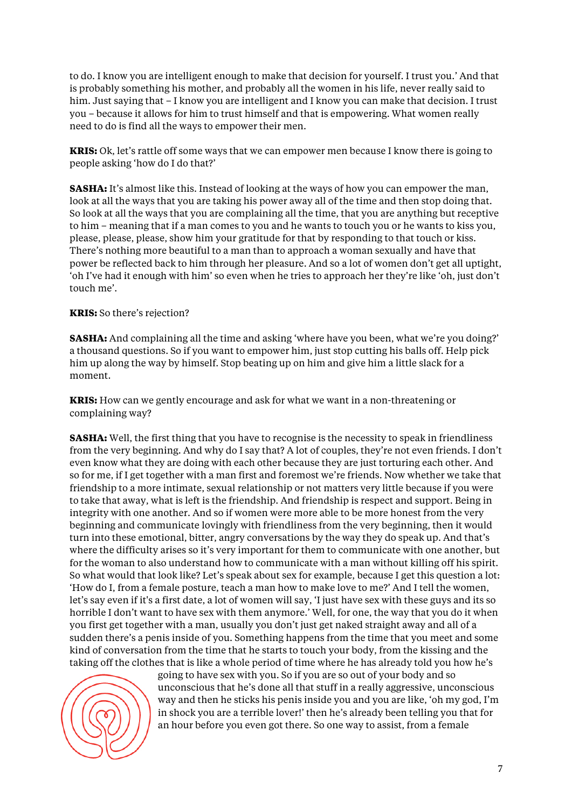to do. I know you are intelligent enough to make that decision for yourself. I trust you.' And that is probably something his mother, and probably all the women in his life, never really said to him. Just saying that – I know you are intelligent and I know you can make that decision. I trust you – because it allows for him to trust himself and that is empowering. What women really need to do is find all the ways to empower their men.

**KRIS:** Ok, let's rattle off some ways that we can empower men because I know there is going to people asking 'how do I do that?'

**SASHA:** It's almost like this. Instead of looking at the ways of how you can empower the man, look at all the ways that you are taking his power away all of the time and then stop doing that. So look at all the ways that you are complaining all the time, that you are anything but receptive to him – meaning that if a man comes to you and he wants to touch you or he wants to kiss you, please, please, please, show him your gratitude for that by responding to that touch or kiss. There's nothing more beautiful to a man than to approach a woman sexually and have that power be reflected back to him through her pleasure. And so a lot of women don't get all uptight, 'oh I've had it enough with him' so even when he tries to approach her they're like 'oh, just don't touch me'.

## **KRIS:** So there's rejection?

**SASHA:** And complaining all the time and asking 'where have you been, what we're you doing?' a thousand questions. So if you want to empower him, just stop cutting his balls off. Help pick him up along the way by himself. Stop beating up on him and give him a little slack for a moment.

**KRIS:** How can we gently encourage and ask for what we want in a non-threatening or complaining way?

**SASHA:** Well, the first thing that you have to recognise is the necessity to speak in friendliness from the very beginning. And why do I say that? A lot of couples, they're not even friends. I don't even know what they are doing with each other because they are just torturing each other. And so for me, if I get together with a man first and foremost we're friends. Now whether we take that friendship to a more intimate, sexual relationship or not matters very little because if you were to take that away, what is left is the friendship. And friendship is respect and support. Being in integrity with one another. And so if women were more able to be more honest from the very beginning and communicate lovingly with friendliness from the very beginning, then it would turn into these emotional, bitter, angry conversations by the way they do speak up. And that's where the difficulty arises so it's very important for them to communicate with one another, but for the woman to also understand how to communicate with a man without killing off his spirit. So what would that look like? Let's speak about sex for example, because I get this question a lot: 'How do I, from a female posture, teach a man how to make love to me?' And I tell the women, let's say even if it's a first date, a lot of women will say, 'I just have sex with these guys and its so horrible I don't want to have sex with them anymore.' Well, for one, the way that you do it when you first get together with a man, usually you don't just get naked straight away and all of a sudden there's a penis inside of you. Something happens from the time that you meet and some kind of conversation from the time that he starts to touch your body, from the kissing and the taking off the clothes that is like a whole period of time where he has already told you how he's



going to have sex with you. So if you are so out of your body and so unconscious that he's done all that stuff in a really aggressive, unconscious way and then he sticks his penis inside you and you are like, 'oh my god, I'm in shock you are a terrible lover!' then he's already been telling you that for an hour before you even got there. So one way to assist, from a female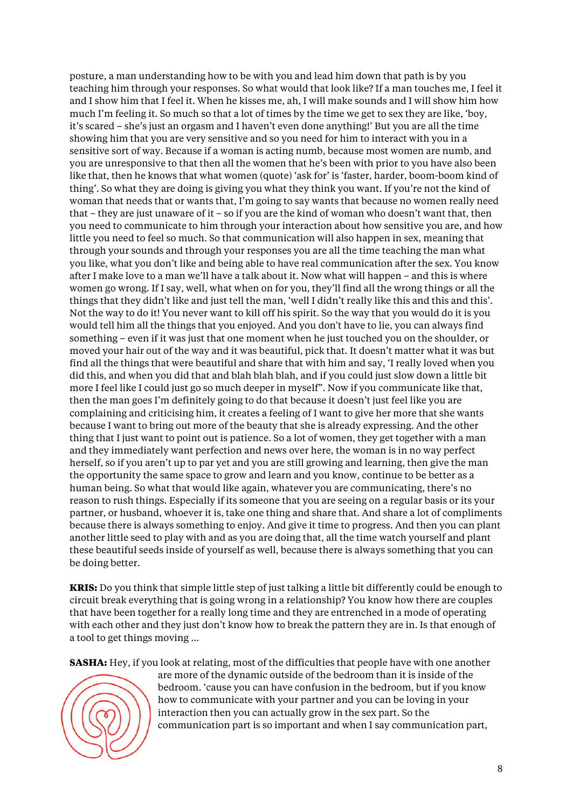posture, a man understanding how to be with you and lead him down that path is by you teaching him through your responses. So what would that look like? If a man touches me, I feel it and I show him that I feel it. When he kisses me, ah, I will make sounds and I will show him how much I'm feeling it. So much so that a lot of times by the time we get to sex they are like, 'boy, it's scared – she's just an orgasm and I haven't even done anything!' But you are all the time showing him that you are very sensitive and so you need for him to interact with you in a sensitive sort of way. Because if a woman is acting numb, because most women are numb, and you are unresponsive to that then all the women that he's been with prior to you have also been like that, then he knows that what women (quote) 'ask for' is 'faster, harder, boom-boom kind of thing'. So what they are doing is giving you what they think you want. If you're not the kind of woman that needs that or wants that, I'm going to say wants that because no women really need that – they are just unaware of it – so if you are the kind of woman who doesn't want that, then you need to communicate to him through your interaction about how sensitive you are, and how little you need to feel so much. So that communication will also happen in sex, meaning that through your sounds and through your responses you are all the time teaching the man what you like, what you don't like and being able to have real communication after the sex. You know after I make love to a man we'll have a talk about it. Now what will happen – and this is where women go wrong. If I say, well, what when on for you, they'll find all the wrong things or all the things that they didn't like and just tell the man, 'well I didn't really like this and this and this'. Not the way to do it! You never want to kill off his spirit. So the way that you would do it is you would tell him all the things that you enjoyed. And you don't have to lie, you can always find something – even if it was just that one moment when he just touched you on the shoulder, or moved your hair out of the way and it was beautiful, pick that. It doesn't matter what it was but find all the things that were beautiful and share that with him and say, 'I really loved when you did this, and when you did that and blah blah blah, and if you could just slow down a little bit more I feel like I could just go so much deeper in myself". Now if you communicate like that, then the man goes I'm definitely going to do that because it doesn't just feel like you are complaining and criticising him, it creates a feeling of I want to give her more that she wants because I want to bring out more of the beauty that she is already expressing. And the other thing that I just want to point out is patience. So a lot of women, they get together with a man and they immediately want perfection and news over here, the woman is in no way perfect herself, so if you aren't up to par yet and you are still growing and learning, then give the man the opportunity the same space to grow and learn and you know, continue to be better as a human being. So what that would like again, whatever you are communicating, there's no reason to rush things. Especially if its someone that you are seeing on a regular basis or its your partner, or husband, whoever it is, take one thing and share that. And share a lot of compliments because there is always something to enjoy. And give it time to progress. And then you can plant another little seed to play with and as you are doing that, all the time watch yourself and plant these beautiful seeds inside of yourself as well, because there is always something that you can be doing better.

**KRIS:** Do you think that simple little step of just talking a little bit differently could be enough to circuit break everything that is going wrong in a relationship? You know how there are couples that have been together for a really long time and they are entrenched in a mode of operating with each other and they just don't know how to break the pattern they are in. Is that enough of a tool to get things moving …

**SASHA:** Hey, if you look at relating, most of the difficulties that people have with one another



are more of the dynamic outside of the bedroom than it is inside of the bedroom. 'cause you can have confusion in the bedroom, but if you know how to communicate with your partner and you can be loving in your interaction then you can actually grow in the sex part. So the communication part is so important and when I say communication part,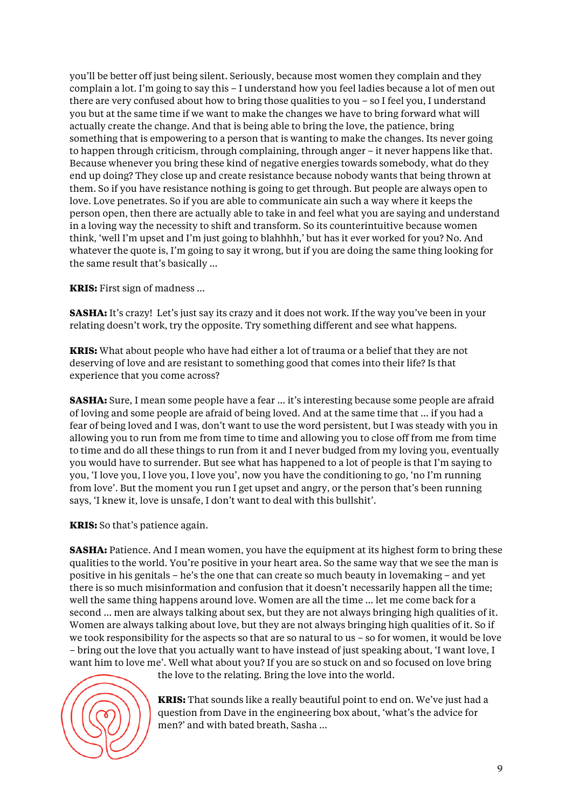you'll be better off just being silent. Seriously, because most women they complain and they complain a lot. I'm going to say this – I understand how you feel ladies because a lot of men out there are very confused about how to bring those qualities to you – so I feel you, I understand you but at the same time if we want to make the changes we have to bring forward what will actually create the change. And that is being able to bring the love, the patience, bring something that is empowering to a person that is wanting to make the changes. Its never going to happen through criticism, through complaining, through anger – it never happens like that. Because whenever you bring these kind of negative energies towards somebody, what do they end up doing? They close up and create resistance because nobody wants that being thrown at them. So if you have resistance nothing is going to get through. But people are always open to love. Love penetrates. So if you are able to communicate ain such a way where it keeps the person open, then there are actually able to take in and feel what you are saying and understand in a loving way the necessity to shift and transform. So its counterintuitive because women think, 'well I'm upset and I'm just going to blahhhh,' but has it ever worked for you? No. And whatever the quote is, I'm going to say it wrong, but if you are doing the same thing looking for the same result that's basically …

**KRIS:** First sign of madness …

**SASHA:** It's crazy! Let's just say its crazy and it does not work. If the way you've been in your relating doesn't work, try the opposite. Try something different and see what happens.

**KRIS:** What about people who have had either a lot of trauma or a belief that they are not deserving of love and are resistant to something good that comes into their life? Is that experience that you come across?

**SASHA:** Sure, I mean some people have a fear ... it's interesting because some people are afraid of loving and some people are afraid of being loved. And at the same time that … if you had a fear of being loved and I was, don't want to use the word persistent, but I was steady with you in allowing you to run from me from time to time and allowing you to close off from me from time to time and do all these things to run from it and I never budged from my loving you, eventually you would have to surrender. But see what has happened to a lot of people is that I'm saying to you, 'I love you, I love you, I love you', now you have the conditioning to go, 'no I'm running from love'. But the moment you run I get upset and angry, or the person that's been running says, 'I knew it, love is unsafe, I don't want to deal with this bullshit'.

**KRIS:** So that's patience again.

**SASHA:** Patience. And I mean women, you have the equipment at its highest form to bring these qualities to the world. You're positive in your heart area. So the same way that we see the man is positive in his genitals – he's the one that can create so much beauty in lovemaking – and yet there is so much misinformation and confusion that it doesn't necessarily happen all the time; well the same thing happens around love. Women are all the time … let me come back for a second … men are always talking about sex, but they are not always bringing high qualities of it. Women are always talking about love, but they are not always bringing high qualities of it. So if we took responsibility for the aspects so that are so natural to us – so for women, it would be love – bring out the love that you actually want to have instead of just speaking about, 'I want love, I want him to love me'. Well what about you? If you are so stuck on and so focused on love bring



the love to the relating. Bring the love into the world.

**KRIS:** That sounds like a really beautiful point to end on. We've just had a question from Dave in the engineering box about, 'what's the advice for men?' and with bated breath, Sasha …